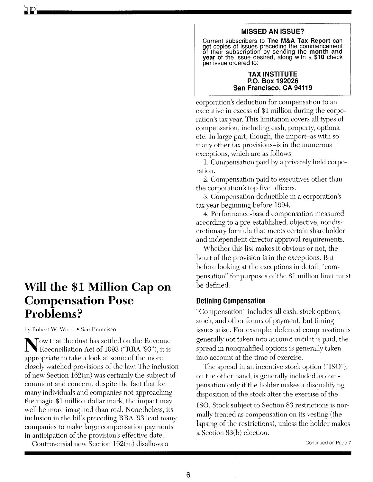## **MISSED AN ISSUE?**

Current subscribers to **The M&A Tax Report** can get copies of issues preceding the commencement of their subscription by sending the **month and year** of the issue desired, along with a **\$10** check per issue ordered to:

#### **TAX INSTITUTE P.O. Box 192026 San Francisco, CA 94119**

corporation's deduction for compensation to an executive in excess of \$1 million during the corporation's tax year. This limitation covers all types of compensation, including cash, property, options, etc. In large part, though, the import-as with so many other tax provisions-is in the numerous exceptions, which are as follows:

1. Compensation paid by a privately held corporation.

2. Compensation paid to executives other than the corporation's top five officers.

3. Compensation deductible in a corporation's tax year beginning before 1994.

4. Performance-based compensation measured according to a pre-established, objective, nondiscretiomuy formula that meets certain shareholder and independent director approval requirements.

vVhether this list makes it obvious or not, the heart of the provision is in the exceptions. But before looking at the exceptions in detail, "compensation" for purposes of the \$1 million limit must be defined.

## **Defining Compensation**

"Compensation" includes all cash, stock options, stock, and other forms of payment, but timing issues arise. For example, deferred compensation is generally not taken into account until it is paid; the spread in nonqualified options is generally taken into account at the time of exercise.

The spread in an incentive stock option ("ISO"), on the other hand, is generally included as compensation only if the holder makes a disqualifying disposition of the stock after the exercise of the

ISO. Stock subject to Section 83 restrictions is normally treated as compensation on its vesting (the lapsing of the restrictions), unless the holder makes a Section 83(b) election.

# **Will the \$1 Million Cap on Compensation Pose Problems?**

by Robert W. Wood • San Francisco

Tow that the dust has settled on the Revenue Reconciliation Act of 1993 ("RRA '93"), it is appropriate to take a look at some of the more closely watched provisions of the law. The inclusion of new Section 162(m) was certainly the subject of comment and concern, despite the fact that for many individuals and companies not approaching the magic \$1 million dollar mark, the impact may well be more imagined than real. Nonetheless, its inclusion in the bills preceding RRA '93 lead many companies to make large compensation payments in anticipation of the provision's effective date.

Controversial new Section 162(m) disallows a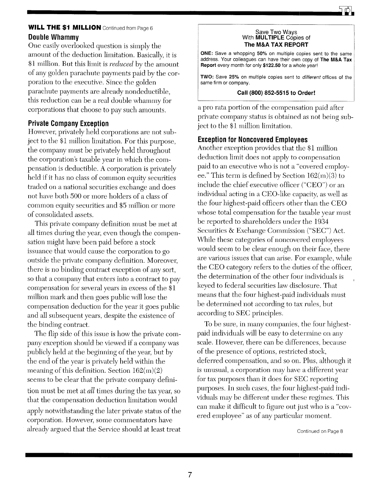## **WILL THE \$1 MILLION** Continued from Page 6 **Double Whammy**

One easily overlooked question is simply the amount of the deduction limitation. Basically, it is \$1 million. But this limit is *reduced* by the amount of any golden parachute payments paid by the corporation to the executive. Since the golden parachute payments are already nondeductible, this reduction can be a real double whammy for corporations that choose to pay such amounts.

## **Private Company Exception**

However, privately held corporations are not subject to the \$1 million limitation. For this purpose, the company must be privately held throughout the corporation's taxable year in which the compensation is deductible. A corporation is privately held if it has no class of common equity securities traded on a national securities exchange and does not have both 500 or more holders of a class of common equity securities and \$5 million or more of consolidated assets.

This private company definition must be met at all times during the year, even though the compensation might have been paid before a stock issuance that would cause the corporation to go outside the private company definition. Moreover, there is no binding contract exception of any sort, so that a company that enters into a contract to pay compensation for several years in excess of the \$1 million mark and then goes public will lose the compensation deduction for the year it goes public and all subsequent years, despite the existence of the binding contract.

The flip side of this issue is how the private company exception should be viewed if a company was publicly held at the beginning of the year, but by the end of the year is privately held within the meaning of this definition. Section  $162(m)(2)$ seems to be clear that the private company definition must be met at *all* times during the tax year, so that the compensation deduction limitation would apply notwithstanding the later private status of the corporation. However, some commentators have already argued that the Service should at least treat

#### Save Two Ways With **MULTIPLE** Copies of **The M&A TAX REPORT**

**ONE:** Save a whopping 50% on multiple copies sent to the same address. Your colleagues can have their own copy of **The M&A Tax Report** every month for only \$122.50 for a whole year!

**TWO:** Save 25% on multiple copies sent to *different* offices of the same firm or company.

#### **Call (800) 852-5515 to Order!**

a pro rata portion of the compensation paid after private company status is obtained as not being subject to the \$1 million limitation.

## **Exception for Noncovered Employees**

Another exception provides that the \$1 million deduction limit does not apply to compensation paid to an executive who is not a "covered employee." This term is defined by Section 162(m)(3) to include the chief executive officer ("CEO") or an individual acting in a CEO-like capacity, as well as the four highest-paid officers other than the CEO whose total compensation for the taxable year must be reported to shareholders under the 1934 Securities & Exchange Commission ("SEC") Act. While these categories of noncovered employees would seem to be clear enough on their face, there are various issues that can arise. For example, while the CEO category refers to the duties of the officer, the determination of the other four individuals is keyed to federal secmities law disclosure. That means that the four highest-paid individuals must be determined not according to tax rules, but according to SEC principles.

To be sure, in many companies, the four highestpaid individuals will be easy to determine on any scale. However, there can be differences, because of the presence of options, restricted stock, deferred compensation, and so on. Plus, although it is unusual, a corporation may have a different year for tax purposes than it does for SEC reporting purposes. In such cases, the four highest-paid individuals may be different under these regimes. This can make it difficult to figure out just who is a "covered employee" as of any particular moment.